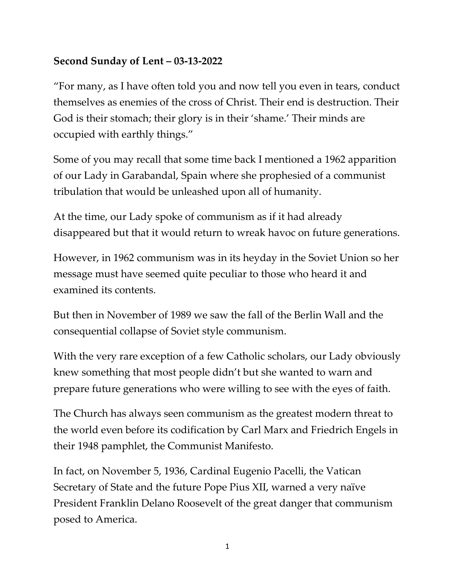## **Second Sunday of Lent – 03-13-2022**

"For many, as I have often told you and now tell you even in tears, conduct themselves as enemies of the cross of Christ. Their end is destruction. Their God is their stomach; their glory is in their 'shame.' Their minds are occupied with earthly things."

Some of you may recall that some time back I mentioned a 1962 apparition of our Lady in Garabandal, Spain where she prophesied of a communist tribulation that would be unleashed upon all of humanity.

At the time, our Lady spoke of communism as if it had already disappeared but that it would return to wreak havoc on future generations.

However, in 1962 communism was in its heyday in the Soviet Union so her message must have seemed quite peculiar to those who heard it and examined its contents.

But then in November of 1989 we saw the fall of the Berlin Wall and the consequential collapse of Soviet style communism.

With the very rare exception of a few Catholic scholars, our Lady obviously knew something that most people didn't but she wanted to warn and prepare future generations who were willing to see with the eyes of faith.

The Church has always seen communism as the greatest modern threat to the world even before its codification by Carl Marx and Friedrich Engels in their 1948 pamphlet, the Communist Manifesto.

In fact, on November 5, 1936, Cardinal Eugenio Pacelli, the Vatican Secretary of State and the future Pope Pius XII, warned a very naïve President Franklin Delano Roosevelt of the great danger that communism posed to America.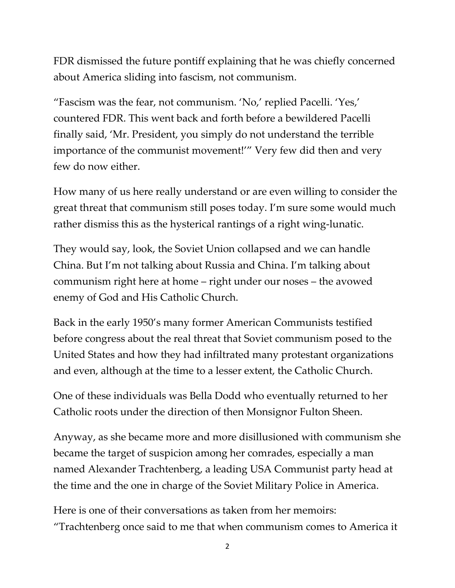FDR dismissed the future pontiff explaining that he was chiefly concerned about America sliding into fascism, not communism.

"Fascism was the fear, not communism. 'No,' replied Pacelli. 'Yes,' countered FDR. This went back and forth before a bewildered Pacelli finally said, 'Mr. President, you simply do not understand the terrible importance of the communist movement!'" Very few did then and very few do now either.

How many of us here really understand or are even willing to consider the great threat that communism still poses today. I'm sure some would much rather dismiss this as the hysterical rantings of a right wing-lunatic.

They would say, look, the Soviet Union collapsed and we can handle China. But I'm not talking about Russia and China. I'm talking about communism right here at home – right under our noses – the avowed enemy of God and His Catholic Church.

Back in the early 1950's many former American Communists testified before congress about the real threat that Soviet communism posed to the United States and how they had infiltrated many protestant organizations and even, although at the time to a lesser extent, the Catholic Church.

One of these individuals was Bella Dodd who eventually returned to her Catholic roots under the direction of then Monsignor Fulton Sheen.

Anyway, as she became more and more disillusioned with communism she became the target of suspicion among her comrades, especially a man named Alexander Trachtenberg, a leading USA Communist party head at the time and the one in charge of the Soviet Military Police in America.

Here is one of their conversations as taken from her memoirs: "Trachtenberg once said to me that when communism comes to America it